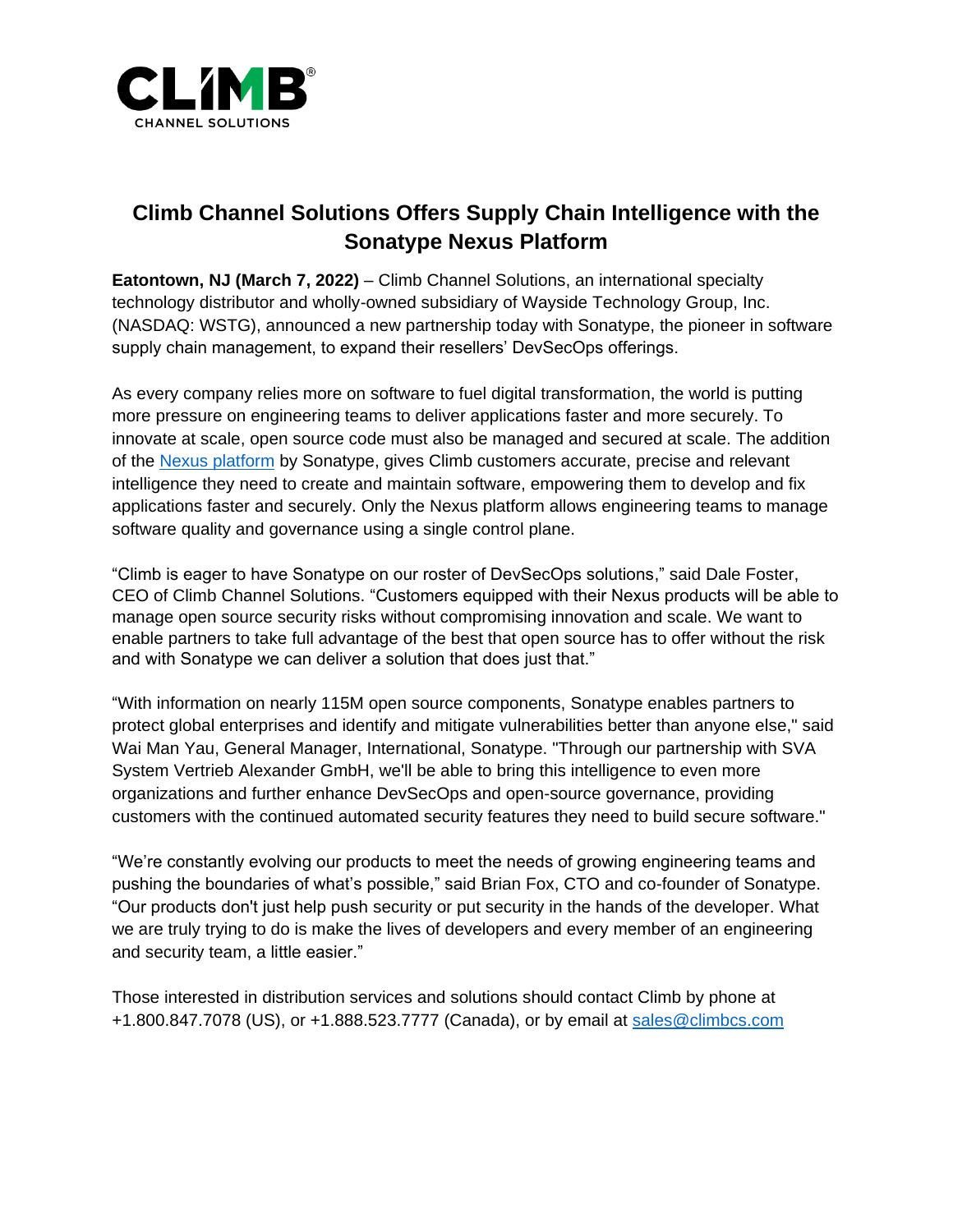

# **Climb Channel Solutions Offers Supply Chain Intelligence with the Sonatype Nexus Platform**

**Eatontown, NJ (March 7, 2022)** – Climb Channel Solutions, an international specialty technology distributor and wholly-owned subsidiary of Wayside Technology Group, Inc. (NASDAQ: WSTG), announced a new partnership today with Sonatype, the pioneer in software supply chain management, to expand their resellers' DevSecOps offerings.

As every company relies more on software to fuel digital transformation, the world is putting more pressure on engineering teams to deliver applications faster and more securely. To innovate at scale, open source code must also be managed and secured at scale. The addition of the [Nexus platform](https://www.sonatype.com/products/software-supply-chain-management?topnav=true&hsLang=en-us) by Sonatype, gives Climb customers accurate, precise and relevant intelligence they need to create and maintain software, empowering them to develop and fix applications faster and securely. Only the Nexus platform allows engineering teams to manage software quality and governance using a single control plane.

"Climb is eager to have Sonatype on our roster of DevSecOps solutions," said Dale Foster, CEO of Climb Channel Solutions. "Customers equipped with their Nexus products will be able to manage open source security risks without compromising innovation and scale. We want to enable partners to take full advantage of the best that open source has to offer without the risk and with Sonatype we can deliver a solution that does just that."

"With information on nearly 115M open source components, Sonatype enables partners to protect global enterprises and identify and mitigate vulnerabilities better than anyone else," said Wai Man Yau, General Manager, International, Sonatype. "Through our partnership with SVA System Vertrieb Alexander GmbH, we'll be able to bring this intelligence to even more organizations and further enhance DevSecOps and open-source governance, providing customers with the continued automated security features they need to build secure software."

"We're constantly evolving our products to meet the needs of growing engineering teams and pushing the boundaries of what's possible," said Brian Fox, CTO and co-founder of Sonatype. "Our products don't just help push security or put security in the hands of the developer. What we are truly trying to do is make the lives of developers and every member of an engineering and security team, a little easier."

Those interested in distribution services and solutions should contact Climb by phone at +1.800.847.7078 (US), or +1.888.523.7777 (Canada), or by email at [sales@climbcs.com](mailto:sales@climbcs.com)